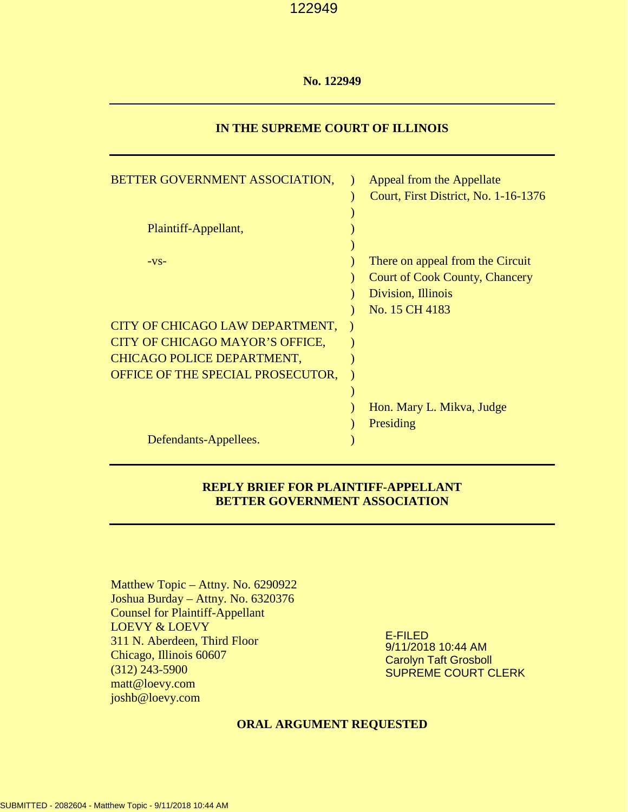### **No. 122949**

## **IN THE SUPREME COURT OF ILLINOIS**

| BETTER GOVERNMENT ASSOCIATION,    | Appeal from the Appellate<br>Court, First District, No. 1-16-1376 |
|-----------------------------------|-------------------------------------------------------------------|
| Plaintiff-Appellant,              |                                                                   |
|                                   |                                                                   |
| $-VS-$                            | There on appeal from the Circuit                                  |
|                                   | <b>Court of Cook County, Chancery</b>                             |
|                                   | Division, Illinois                                                |
|                                   | No. 15 CH 4183                                                    |
| CITY OF CHICAGO LAW DEPARTMENT,   |                                                                   |
| CITY OF CHICAGO MAYOR'S OFFICE,   |                                                                   |
| CHICAGO POLICE DEPARTMENT,        |                                                                   |
| OFFICE OF THE SPECIAL PROSECUTOR, |                                                                   |
|                                   |                                                                   |
|                                   | Hon. Mary L. Mikva, Judge                                         |
|                                   | Presiding                                                         |
| Defendants-Appellees.             |                                                                   |

## **REPLY BRIEF FOR PLAINTIFF-APPELLANT BETTER GOVERNMENT ASSOCIATION**

Matthew Topic – Attny. No. 6290922 Joshua Burday – Attny. No. 6320376 Counsel for Plaintiff-Appellant LOEVY & LOEVY 311 N. Aberdeen, Third Floor Chicago, Illinois 60607 (312) 243-5900 matt@loevy.com [joshb@loevy.com](mailto:joshb@loevy.com)

E-FILED 9/11/2018 10:44 AM Carolyn Taft Grosboll SUPREME COURT CLERK

## **ORAL ARGUMENT REQUESTED**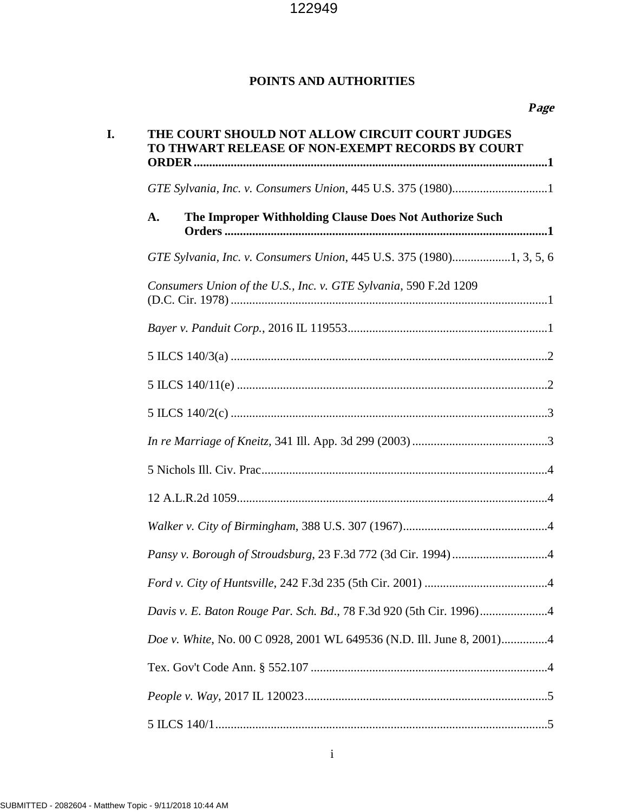## **POINTS AND AUTHORITIES**

| I. | THE COURT SHOULD NOT ALLOW CIRCUIT COURT JUDGES<br>TO THWART RELEASE OF NON-EXEMPT RECORDS BY COURT |  |  |  |  |
|----|-----------------------------------------------------------------------------------------------------|--|--|--|--|
|    |                                                                                                     |  |  |  |  |
|    | The Improper Withholding Clause Does Not Authorize Such<br>A.                                       |  |  |  |  |
|    |                                                                                                     |  |  |  |  |
|    | Consumers Union of the U.S., Inc. v. GTE Sylvania, 590 F.2d 1209                                    |  |  |  |  |
|    |                                                                                                     |  |  |  |  |
|    |                                                                                                     |  |  |  |  |
|    |                                                                                                     |  |  |  |  |
|    |                                                                                                     |  |  |  |  |
|    |                                                                                                     |  |  |  |  |
|    |                                                                                                     |  |  |  |  |
|    |                                                                                                     |  |  |  |  |
|    |                                                                                                     |  |  |  |  |
|    |                                                                                                     |  |  |  |  |
|    |                                                                                                     |  |  |  |  |
|    |                                                                                                     |  |  |  |  |
|    | Doe v. White, No. 00 C 0928, 2001 WL 649536 (N.D. Ill. June 8, 2001)4                               |  |  |  |  |
|    |                                                                                                     |  |  |  |  |
|    |                                                                                                     |  |  |  |  |
|    |                                                                                                     |  |  |  |  |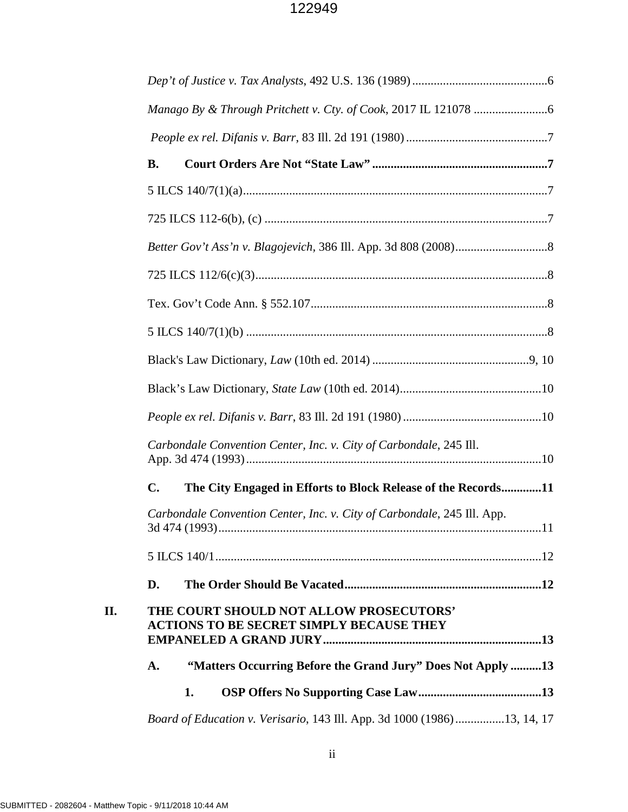|     | <b>B.</b>                                                                                  |     |
|-----|--------------------------------------------------------------------------------------------|-----|
|     |                                                                                            |     |
|     |                                                                                            |     |
|     |                                                                                            |     |
|     |                                                                                            |     |
|     |                                                                                            |     |
|     |                                                                                            |     |
|     |                                                                                            |     |
|     |                                                                                            |     |
|     |                                                                                            |     |
|     | Carbondale Convention Center, Inc. v. City of Carbondale, 245 Ill.                         |     |
|     | $\mathbf{C}$ .<br>The City Engaged in Efforts to Block Release of the Records11            |     |
|     | Carbondale Convention Center, Inc. v. City of Carbondale, 245 Ill. App.<br>3d 474 (1993).  | .11 |
|     |                                                                                            |     |
|     | D.                                                                                         |     |
| II. | THE COURT SHOULD NOT ALLOW PROSECUTORS'<br><b>ACTIONS TO BE SECRET SIMPLY BECAUSE THEY</b> |     |
|     | "Matters Occurring Before the Grand Jury" Does Not Apply 13<br>A.                          |     |
|     | 1.                                                                                         |     |
|     | Board of Education v. Verisario, 143 Ill. App. 3d 1000 (1986)13, 14, 17                    |     |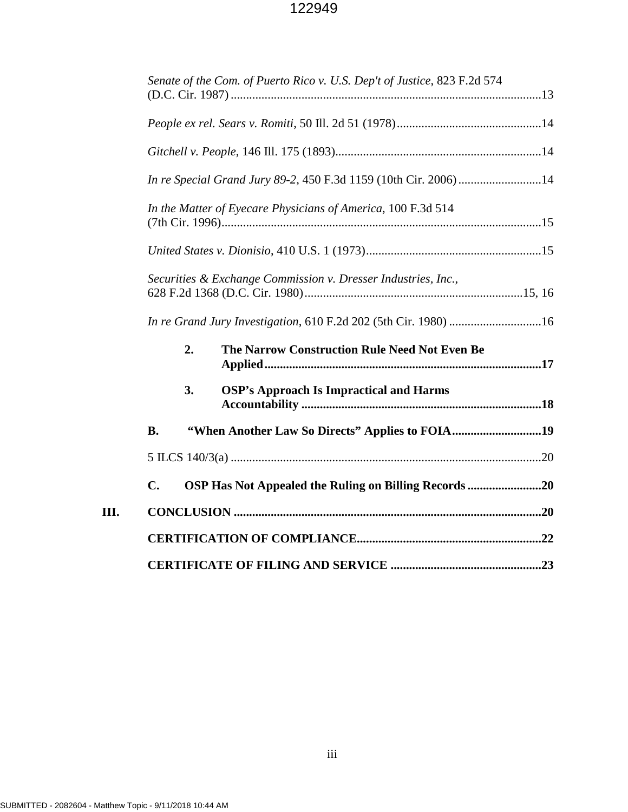|                | Senate of the Com. of Puerto Rico v. U.S. Dep't of Justice, 823 F.2d 574 |  |
|----------------|--------------------------------------------------------------------------|--|
|                |                                                                          |  |
|                |                                                                          |  |
|                |                                                                          |  |
|                | In the Matter of Eyecare Physicians of America, 100 F.3d 514             |  |
|                |                                                                          |  |
|                | Securities & Exchange Commission v. Dresser Industries, Inc.,            |  |
|                | In re Grand Jury Investigation, 610 F.2d 202 (5th Cir. 1980) 16          |  |
| 2.             | The Narrow Construction Rule Need Not Even Be                            |  |
| 3.             | <b>OSP's Approach Is Impractical and Harms</b>                           |  |
| <b>B.</b>      | "When Another Law So Directs" Applies to FOIA19                          |  |
|                |                                                                          |  |
| $\mathbf{C}$ . | OSP Has Not Appealed the Ruling on Billing Records 20                    |  |
|                |                                                                          |  |
|                |                                                                          |  |
|                |                                                                          |  |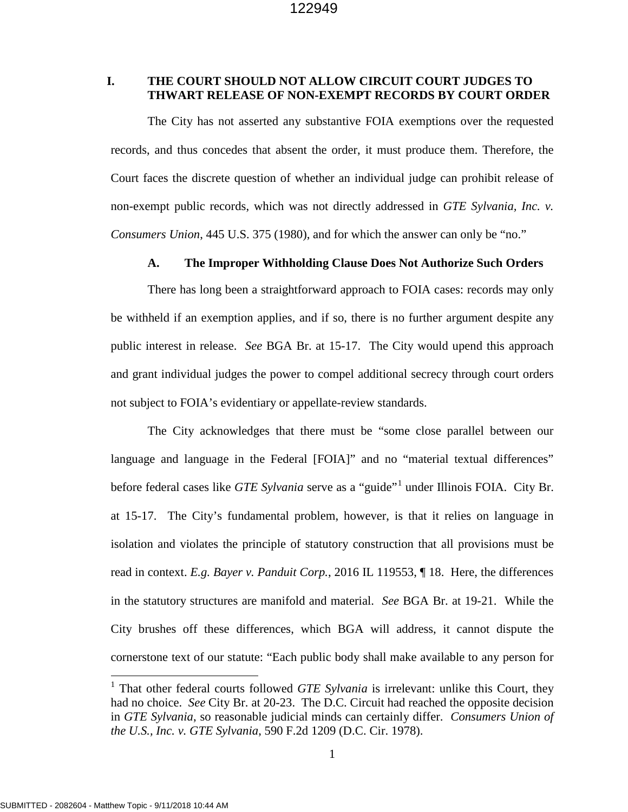## **I. THE COURT SHOULD NOT ALLOW CIRCUIT COURT JUDGES TO THWART RELEASE OF NON-EXEMPT RECORDS BY COURT ORDER**

The City has not asserted any substantive FOIA exemptions over the requested records, and thus concedes that absent the order, it must produce them. Therefore, the Court faces the discrete question of whether an individual judge can prohibit release of non-exempt public records, which was not directly addressed in *GTE Sylvania, Inc. v. Consumers Union*, 445 U.S. 375 (1980), and for which the answer can only be "no."

#### **A. The Improper Withholding Clause Does Not Authorize Such Orders**

There has long been a straightforward approach to FOIA cases: records may only be withheld if an exemption applies, and if so, there is no further argument despite any public interest in release. *See* BGA Br. at 15-17. The City would upend this approach and grant individual judges the power to compel additional secrecy through court orders not subject to FOIA's evidentiary or appellate-review standards.

The City acknowledges that there must be "some close parallel between our language and language in the Federal [FOIA]" and no "material textual differences" before federal cases like *GTE Sylvania* serve as a "guide"[1](#page-4-0) under Illinois FOIA. City Br. at 15-17. The City's fundamental problem, however, is that it relies on language in isolation and violates the principle of statutory construction that all provisions must be read in context. *E.g. Bayer v. Panduit Corp.*, 2016 IL 119553, ¶ 18. Here, the differences in the statutory structures are manifold and material. *See* BGA Br. at 19-21. While the City brushes off these differences, which BGA will address, it cannot dispute the cornerstone text of our statute: "Each public body shall make available to any person for

<span id="page-4-0"></span><sup>&</sup>lt;sup>1</sup> That other federal courts followed *GTE Sylvania* is irrelevant: unlike this Court, they had no choice. *See* City Br. at 20-23. The D.C. Circuit had reached the opposite decision in *GTE Sylvania*, so reasonable judicial minds can certainly differ. *Consumers Union of the U.S., Inc. v. GTE Sylvania*, 590 F.2d 1209 (D.C. Cir. 1978).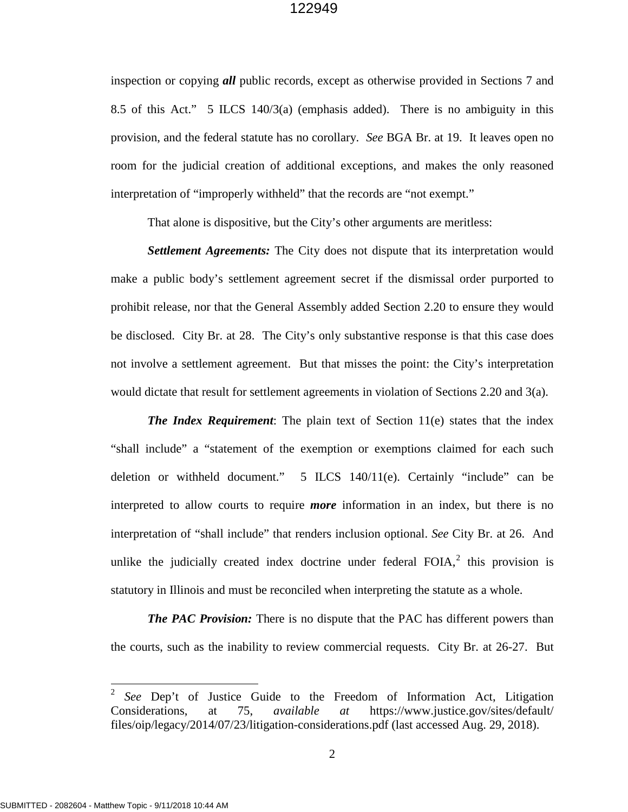inspection or copying *all* public records, except as otherwise provided in Sections 7 and 8.5 of this Act." 5 ILCS 140/3(a) (emphasis added). There is no ambiguity in this provision, and the federal statute has no corollary. *See* BGA Br. at 19. It leaves open no room for the judicial creation of additional exceptions, and makes the only reasoned interpretation of "improperly withheld" that the records are "not exempt."

That alone is dispositive, but the City's other arguments are meritless:

*Settlement Agreements:* The City does not dispute that its interpretation would make a public body's settlement agreement secret if the dismissal order purported to prohibit release, nor that the General Assembly added Section 2.20 to ensure they would be disclosed. City Br. at 28. The City's only substantive response is that this case does not involve a settlement agreement. But that misses the point: the City's interpretation would dictate that result for settlement agreements in violation of Sections 2.20 and 3(a).

*The Index Requirement*: The plain text of Section 11(e) states that the index "shall include" a "statement of the exemption or exemptions claimed for each such deletion or withheld document." 5 ILCS 140/11(e). Certainly "include" can be interpreted to allow courts to require *more* information in an index, but there is no interpretation of "shall include" that renders inclusion optional. *See* City Br. at 26. And unlike the judicially created index doctrine under federal  $F O I A$ , this provision is statutory in Illinois and must be reconciled when interpreting the statute as a whole.

*The PAC Provision:* There is no dispute that the PAC has different powers than the courts, such as the inability to review commercial requests. City Br. at 26-27. But

l

<span id="page-5-0"></span><sup>&</sup>lt;sup>2</sup> *See* Dep't of Justice Guide to the Freedom of Information Act, Litigation Considerations, at 75, *available at* https://www.justice.gov/sites/default/ files/oip/legacy/2014/07/23/litigation-considerations.pdf (last accessed Aug. 29, 2018).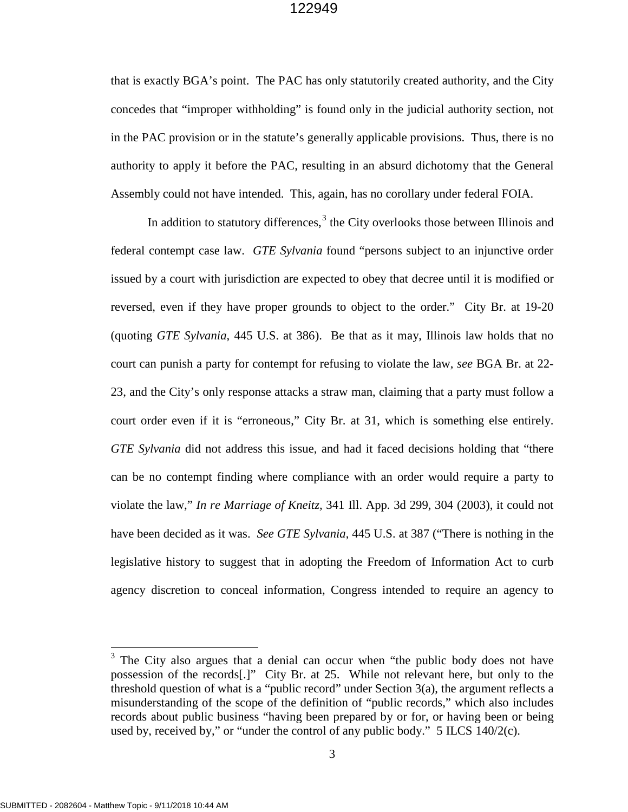that is exactly BGA's point. The PAC has only statutorily created authority, and the City concedes that "improper withholding" is found only in the judicial authority section, not in the PAC provision or in the statute's generally applicable provisions. Thus, there is no authority to apply it before the PAC, resulting in an absurd dichotomy that the General Assembly could not have intended. This, again, has no corollary under federal FOIA.

In addition to statutory differences,  $3$  the City overlooks those between Illinois and federal contempt case law. *GTE Sylvania* found "persons subject to an injunctive order issued by a court with jurisdiction are expected to obey that decree until it is modified or reversed, even if they have proper grounds to object to the order." City Br. at 19-20 (quoting *GTE Sylvania*, 445 U.S. at 386). Be that as it may, Illinois law holds that no court can punish a party for contempt for refusing to violate the law, *see* BGA Br. at 22- 23, and the City's only response attacks a straw man, claiming that a party must follow a court order even if it is "erroneous," City Br. at 31, which is something else entirely. *GTE Sylvania* did not address this issue, and had it faced decisions holding that "there can be no contempt finding where compliance with an order would require a party to violate the law," *In re Marriage of Kneitz,* 341 Ill. App. 3d 299, 304 (2003), it could not have been decided as it was. *See GTE Sylvania*, 445 U.S. at 387 ("There is nothing in the legislative history to suggest that in adopting the Freedom of Information Act to curb agency discretion to conceal information, Congress intended to require an agency to

<span id="page-6-0"></span> $3$  The City also argues that a denial can occur when "the public body does not have possession of the records[.]" City Br. at 25. While not relevant here, but only to the threshold question of what is a "public record" under Section 3(a), the argument reflects a misunderstanding of the scope of the definition of "public records," which also includes records about public business "having been prepared by or for, or having been or being used by, received by," or "under the control of any public body." 5 ILCS 140/2(c).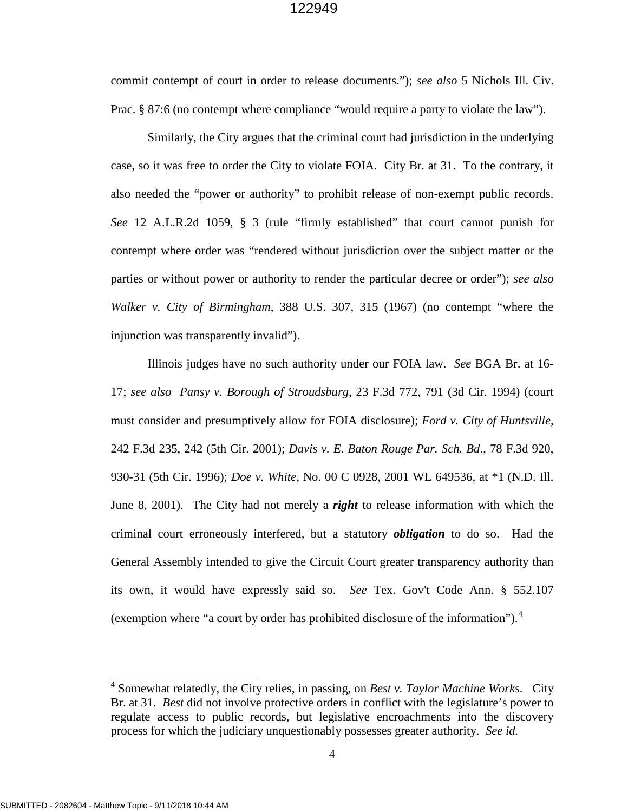commit contempt of court in order to release documents."); *see also* 5 Nichols Ill. Civ. Prac. § 87:6 (no contempt where compliance "would require a party to violate the law").

Similarly, the City argues that the criminal court had jurisdiction in the underlying case, so it was free to order the City to violate FOIA. City Br. at 31. To the contrary, it also needed the "power or authority" to prohibit release of non-exempt public records. *See* 12 A.L.R.2d 1059, § 3 (rule "firmly established" that court cannot punish for contempt where order was "rendered without jurisdiction over the subject matter or the parties or without power or authority to render the particular decree or order"); *see also Walker v. City of Birmingham*, 388 U.S. 307, 315 (1967) (no contempt "where the injunction was transparently invalid").

Illinois judges have no such authority under our FOIA law. *See* BGA Br. at 16- 17; *see also Pansy v. Borough of Stroudsburg*, 23 F.3d 772, 791 (3d Cir. 1994) (court must consider and presumptively allow for FOIA disclosure); *Ford v. City of Huntsville*, 242 F.3d 235, 242 (5th Cir. 2001); *Davis v. E. Baton Rouge Par. Sch. Bd*., 78 F.3d 920, 930-31 (5th Cir. 1996); *Doe v. White*, No. 00 C 0928, 2001 WL 649536, at \*1 (N.D. Ill. June 8, 2001). The City had not merely a *right* to release information with which the criminal court erroneously interfered, but a statutory *obligation* to do so. Had the General Assembly intended to give the Circuit Court greater transparency authority than its own, it would have expressly said so. *See* Tex. Gov't Code Ann. § 552.107 (exemption where "a court by order has prohibited disclosure of the information").[4](#page-7-0)

<span id="page-7-0"></span><sup>4</sup> Somewhat relatedly, the City relies, in passing, on *Best v. Taylor Machine Works*. City Br. at 31. *Best* did not involve protective orders in conflict with the legislature's power to regulate access to public records, but legislative encroachments into the discovery process for which the judiciary unquestionably possesses greater authority. *See id.*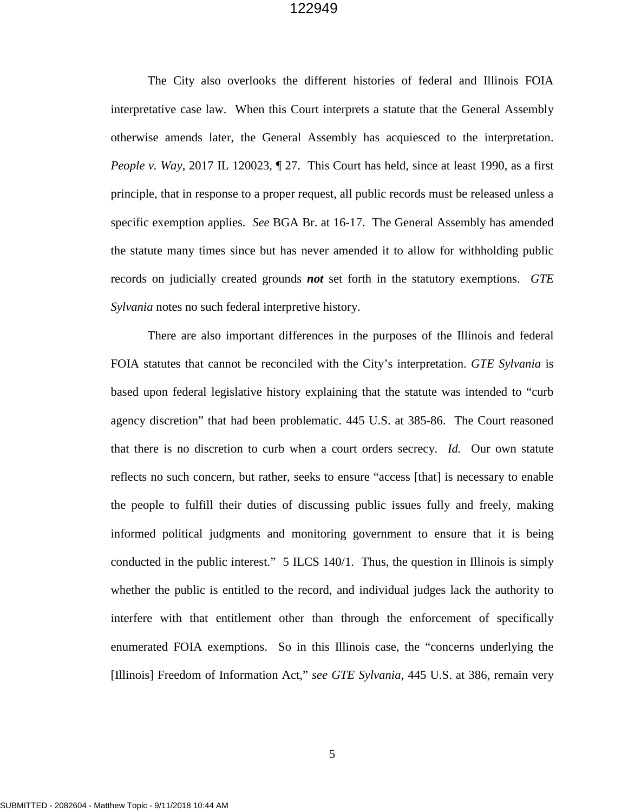The City also overlooks the different histories of federal and Illinois FOIA interpretative case law. When this Court interprets a statute that the General Assembly otherwise amends later, the General Assembly has acquiesced to the interpretation. *People v. Way*, 2017 IL 120023, ¶ 27. This Court has held, since at least 1990, as a first principle, that in response to a proper request, all public records must be released unless a specific exemption applies. *See* BGA Br. at 16-17. The General Assembly has amended the statute many times since but has never amended it to allow for withholding public records on judicially created grounds *not* set forth in the statutory exemptions. *GTE Sylvania* notes no such federal interpretive history.

There are also important differences in the purposes of the Illinois and federal FOIA statutes that cannot be reconciled with the City's interpretation. *GTE Sylvania* is based upon federal legislative history explaining that the statute was intended to "curb agency discretion" that had been problematic. 445 U.S. at 385-86. The Court reasoned that there is no discretion to curb when a court orders secrecy. *Id.* Our own statute reflects no such concern, but rather, seeks to ensure "access [that] is necessary to enable the people to fulfill their duties of discussing public issues fully and freely, making informed political judgments and monitoring government to ensure that it is being conducted in the public interest." 5 ILCS 140/1. Thus, the question in Illinois is simply whether the public is entitled to the record, and individual judges lack the authority to interfere with that entitlement other than through the enforcement of specifically enumerated FOIA exemptions. So in this Illinois case, the "concerns underlying the [Illinois] Freedom of Information Act," *see GTE Sylvania*, 445 U.S. at 386, remain very

5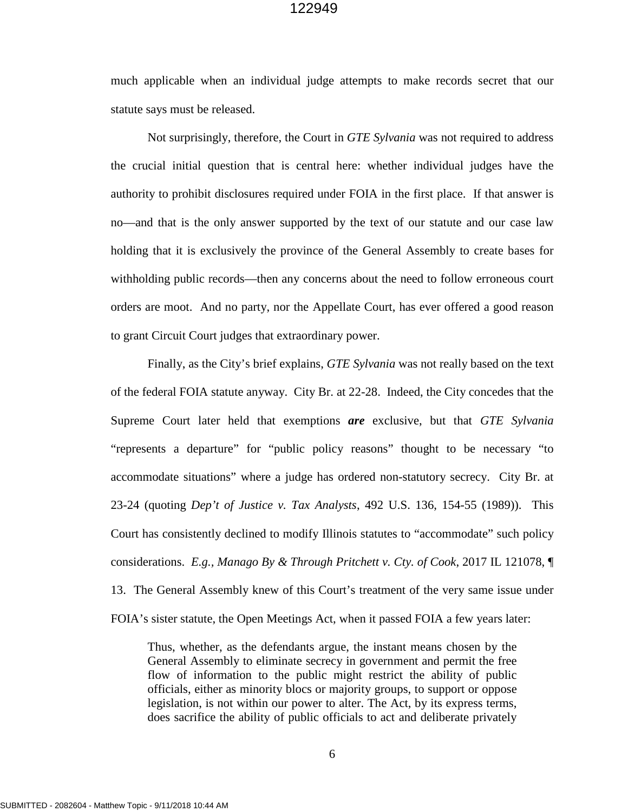much applicable when an individual judge attempts to make records secret that our statute says must be released.

Not surprisingly, therefore, the Court in *GTE Sylvania* was not required to address the crucial initial question that is central here: whether individual judges have the authority to prohibit disclosures required under FOIA in the first place. If that answer is no—and that is the only answer supported by the text of our statute and our case law holding that it is exclusively the province of the General Assembly to create bases for withholding public records—then any concerns about the need to follow erroneous court orders are moot. And no party, nor the Appellate Court, has ever offered a good reason to grant Circuit Court judges that extraordinary power.

Finally, as the City's brief explains, *GTE Sylvania* was not really based on the text of the federal FOIA statute anyway. City Br. at 22-28. Indeed, the City concedes that the Supreme Court later held that exemptions *are* exclusive, but that *GTE Sylvania*  "represents a departure" for "public policy reasons" thought to be necessary "to accommodate situations" where a judge has ordered non-statutory secrecy. City Br. at 23-24 (quoting *Dep't of Justice v. Tax Analysts*, 492 U.S. 136, 154-55 (1989)). This Court has consistently declined to modify Illinois statutes to "accommodate" such policy considerations. *E.g., Manago By & Through Pritchett v. Cty. of Cook*, 2017 IL 121078, ¶ 13. The General Assembly knew of this Court's treatment of the very same issue under FOIA's sister statute, the Open Meetings Act, when it passed FOIA a few years later:

Thus, whether, as the defendants argue, the instant means chosen by the General Assembly to eliminate secrecy in government and permit the free flow of information to the public might restrict the ability of public officials, either as minority blocs or majority groups, to support or oppose legislation, is not within our power to alter. The Act, by its express terms, does sacrifice the ability of public officials to act and deliberate privately

6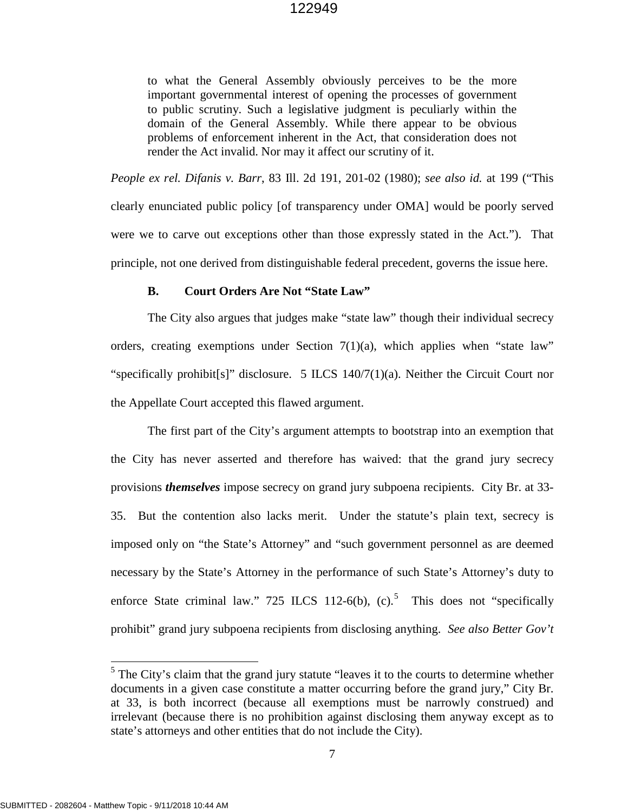to what the General Assembly obviously perceives to be the more important governmental interest of opening the processes of government to public scrutiny. Such a legislative judgment is peculiarly within the domain of the General Assembly. While there appear to be obvious problems of enforcement inherent in the Act, that consideration does not render the Act invalid. Nor may it affect our scrutiny of it.

*People ex rel. Difanis v. Barr*, 83 Ill. 2d 191, 201-02 (1980); *see also id.* at 199 ("This clearly enunciated public policy [of transparency under OMA] would be poorly served were we to carve out exceptions other than those expressly stated in the Act."). That principle, not one derived from distinguishable federal precedent, governs the issue here.

#### **B. Court Orders Are Not "State Law"**

The City also argues that judges make "state law" though their individual secrecy orders, creating exemptions under Section  $7(1)(a)$ , which applies when "state law" "specifically prohibit[s]" disclosure. 5 ILCS 140/7(1)(a). Neither the Circuit Court nor the Appellate Court accepted this flawed argument.

The first part of the City's argument attempts to bootstrap into an exemption that the City has never asserted and therefore has waived: that the grand jury secrecy provisions *themselves* impose secrecy on grand jury subpoena recipients. City Br. at 33- 35. But the contention also lacks merit. Under the statute's plain text, secrecy is imposed only on "the State's Attorney" and "such government personnel as are deemed necessary by the State's Attorney in the performance of such State's Attorney's duty to enforce State criminal law." 72[5](#page-10-0) ILCS 112-6(b),  $(c)$ .<sup>5</sup> This does not "specifically prohibit" grand jury subpoena recipients from disclosing anything. *See also Better Gov't* 

<span id="page-10-0"></span> $<sup>5</sup>$  The City's claim that the grand jury statute "leaves it to the courts to determine whether</sup> documents in a given case constitute a matter occurring before the grand jury," City Br. at 33, is both incorrect (because all exemptions must be narrowly construed) and irrelevant (because there is no prohibition against disclosing them anyway except as to state's attorneys and other entities that do not include the City).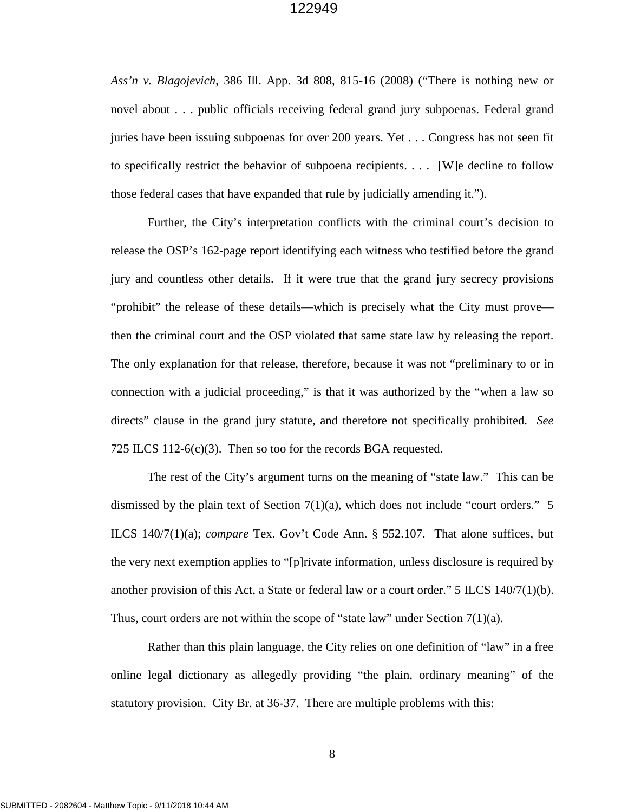*Ass'n v. Blagojevich,* 386 Ill. App. 3d 808, 815-16 (2008) ("There is nothing new or novel about . . . public officials receiving federal grand jury subpoenas. Federal grand juries have been issuing subpoenas for over 200 years. Yet . . . Congress has not seen fit to specifically restrict the behavior of subpoena recipients. . . . [W]e decline to follow those federal cases that have expanded that rule by judicially amending it.").

Further, the City's interpretation conflicts with the criminal court's decision to release the OSP's 162-page report identifying each witness who testified before the grand jury and countless other details. If it were true that the grand jury secrecy provisions "prohibit" the release of these details—which is precisely what the City must prove then the criminal court and the OSP violated that same state law by releasing the report. The only explanation for that release, therefore, because it was not "preliminary to or in connection with a judicial proceeding," is that it was authorized by the "when a law so directs" clause in the grand jury statute, and therefore not specifically prohibited. *See*  725 ILCS 112-6(c)(3). Then so too for the records BGA requested.

The rest of the City's argument turns on the meaning of "state law." This can be dismissed by the plain text of Section  $7(1)(a)$ , which does not include "court orders." 5 ILCS 140/7(1)(a); *compare* Tex. Gov't Code Ann. § 552.107. That alone suffices, but the very next exemption applies to "[p]rivate information, unless disclosure is required by another provision of this Act, a State or federal law or a court order."  $5$  ILCS 140/7(1)(b). Thus, court orders are not within the scope of "state law" under Section  $7(1)(a)$ .

Rather than this plain language, the City relies on one definition of "law" in a free online legal dictionary as allegedly providing "the plain, ordinary meaning" of the statutory provision. City Br. at 36-37. There are multiple problems with this: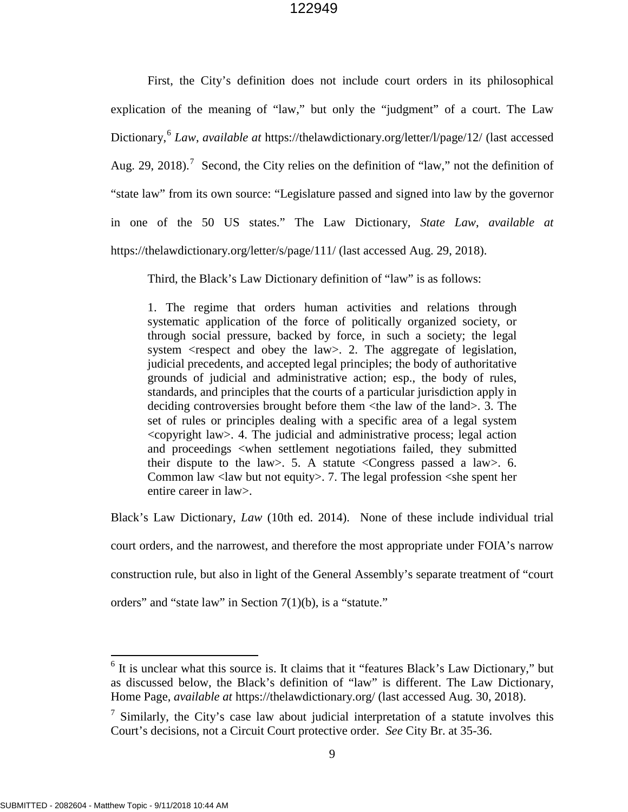First, the City's definition does not include court orders in its philosophical explication of the meaning of "law," but only the "judgment" of a court. The Law Dictionary,[6](#page-12-0) *Law*, *available at* https://thelawdictionary.org/letter/l/page/12/ (last accessed Aug. 29, 2018).<sup>[7](#page-12-1)</sup> Second, the City relies on the definition of "law," not the definition of "state law" from its own source: "Legislature passed and signed into law by the governor in one of the 50 US states." The Law Dictionary, *State Law*, *available at* https://thelawdictionary.org/letter/s/page/111/ (last accessed Aug. 29, 2018).

Third, the Black's Law Dictionary definition of "law" is as follows:

1. The regime that orders human activities and relations through systematic application of the force of politically organized society, or through social pressure, backed by force, in such a society; the legal system <respect and obey the law>. 2. The aggregate of legislation, judicial precedents, and accepted legal principles; the body of authoritative grounds of judicial and administrative action; esp., the body of rules, standards, and principles that the courts of a particular jurisdiction apply in deciding controversies brought before them <the law of the land>. 3. The set of rules or principles dealing with a specific area of a legal system <copyright law>. 4. The judicial and administrative process; legal action and proceedings <when settlement negotiations failed, they submitted their dispute to the law>. 5. A statute <Congress passed a law>. 6. Common law <law but not equity>. 7. The legal profession <she spent her entire career in law>.

Black's Law Dictionary, *Law* (10th ed. 2014). None of these include individual trial

court orders, and the narrowest, and therefore the most appropriate under FOIA's narrow

construction rule, but also in light of the General Assembly's separate treatment of "court

orders" and "state law" in Section 7(1)(b), is a "statute."

<span id="page-12-0"></span> $6$  It is unclear what this source is. It claims that it "features Black's Law Dictionary," but as discussed below, the Black's definition of "law" is different. The Law Dictionary, Home Page, *available at* https://thelawdictionary.org/ (last accessed Aug. 30, 2018).

<span id="page-12-1"></span> $7$  Similarly, the City's case law about judicial interpretation of a statute involves this Court's decisions, not a Circuit Court protective order. *See* City Br. at 35-36.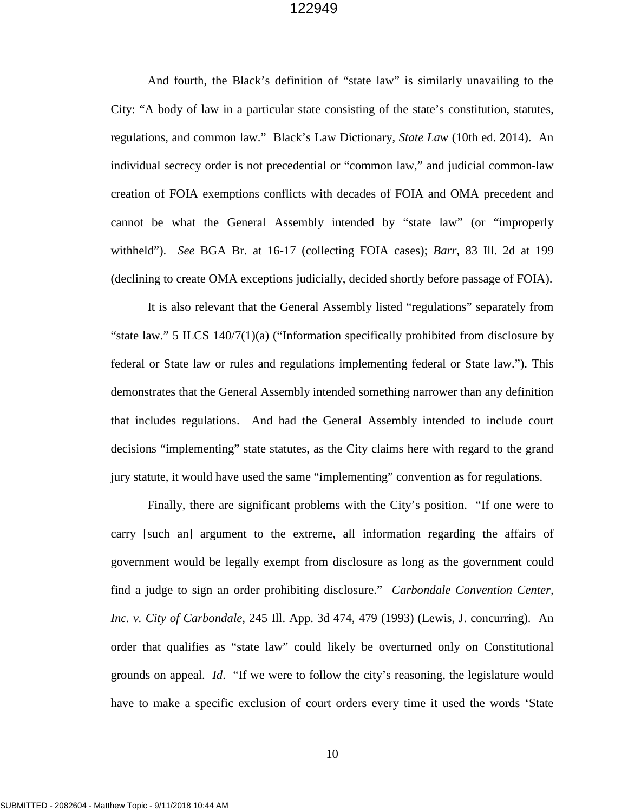And fourth, the Black's definition of "state law" is similarly unavailing to the City: "A body of law in a particular state consisting of the state's constitution, statutes, regulations, and common law." Black's Law Dictionary, *State Law* (10th ed. 2014). An individual secrecy order is not precedential or "common law," and judicial common-law creation of FOIA exemptions conflicts with decades of FOIA and OMA precedent and cannot be what the General Assembly intended by "state law" (or "improperly withheld"). *See* BGA Br. at 16-17 (collecting FOIA cases); *Barr*, 83 Ill. 2d at 199 (declining to create OMA exceptions judicially, decided shortly before passage of FOIA).

It is also relevant that the General Assembly listed "regulations" separately from "state law." 5 ILCS 140/7(1)(a) ("Information specifically prohibited from disclosure by federal or State law or rules and regulations implementing federal or State law."). This demonstrates that the General Assembly intended something narrower than any definition that includes regulations. And had the General Assembly intended to include court decisions "implementing" state statutes, as the City claims here with regard to the grand jury statute, it would have used the same "implementing" convention as for regulations.

Finally, there are significant problems with the City's position. "If one were to carry [such an] argument to the extreme, all information regarding the affairs of government would be legally exempt from disclosure as long as the government could find a judge to sign an order prohibiting disclosure." *Carbondale Convention Center, Inc. v. City of Carbondale*, 245 Ill. App. 3d 474, 479 (1993) (Lewis, J. concurring). An order that qualifies as "state law" could likely be overturned only on Constitutional grounds on appeal. *Id*. "If we were to follow the city's reasoning, the legislature would have to make a specific exclusion of court orders every time it used the words 'State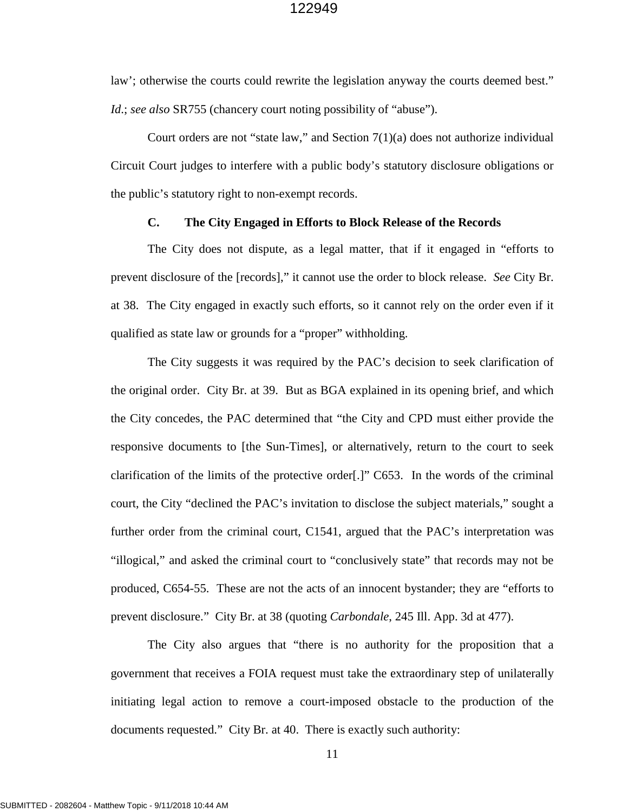law'; otherwise the courts could rewrite the legislation anyway the courts deemed best." *Id*.; *see also* SR755 (chancery court noting possibility of "abuse").

Court orders are not "state law," and Section  $7(1)(a)$  does not authorize individual Circuit Court judges to interfere with a public body's statutory disclosure obligations or the public's statutory right to non-exempt records.

### **C. The City Engaged in Efforts to Block Release of the Records**

The City does not dispute, as a legal matter, that if it engaged in "efforts to prevent disclosure of the [records]," it cannot use the order to block release. *See* City Br. at 38. The City engaged in exactly such efforts, so it cannot rely on the order even if it qualified as state law or grounds for a "proper" withholding.

The City suggests it was required by the PAC's decision to seek clarification of the original order. City Br. at 39. But as BGA explained in its opening brief, and which the City concedes, the PAC determined that "the City and CPD must either provide the responsive documents to [the Sun-Times], or alternatively, return to the court to seek clarification of the limits of the protective order[.]" C653. In the words of the criminal court, the City "declined the PAC's invitation to disclose the subject materials," sought a further order from the criminal court, C1541, argued that the PAC's interpretation was "illogical," and asked the criminal court to "conclusively state" that records may not be produced, C654-55. These are not the acts of an innocent bystander; they are "efforts to prevent disclosure." City Br. at 38 (quoting *Carbondale*, 245 Ill. App. 3d at 477).

The City also argues that "there is no authority for the proposition that a government that receives a FOIA request must take the extraordinary step of unilaterally initiating legal action to remove a court-imposed obstacle to the production of the documents requested." City Br. at 40. There is exactly such authority: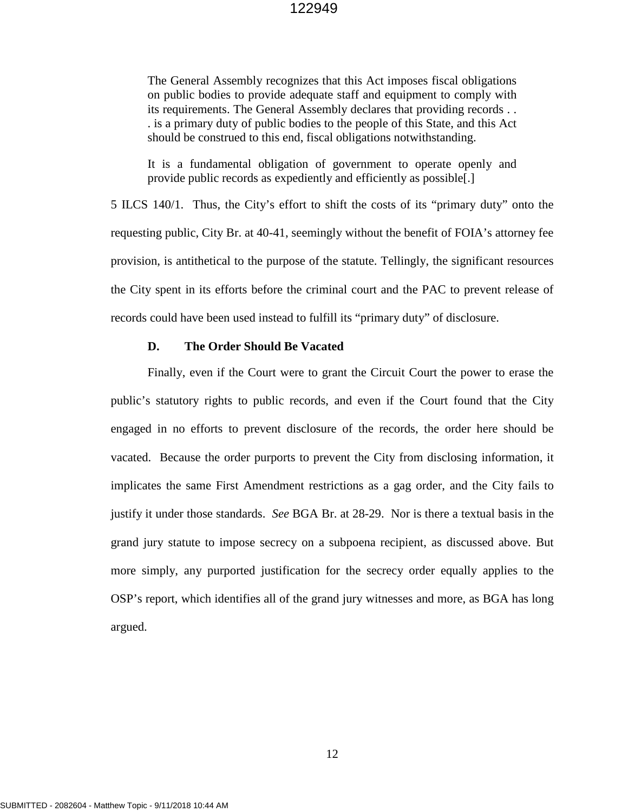The General Assembly recognizes that this Act imposes fiscal obligations on public bodies to provide adequate staff and equipment to comply with its requirements. The General Assembly declares that providing records . . . is a primary duty of public bodies to the people of this State, and this Act should be construed to this end, fiscal obligations notwithstanding.

It is a fundamental obligation of government to operate openly and provide public records as expediently and efficiently as possible[.]

5 ILCS 140/1. Thus, the City's effort to shift the costs of its "primary duty" onto the requesting public, City Br. at 40-41, seemingly without the benefit of FOIA's attorney fee provision, is antithetical to the purpose of the statute. Tellingly, the significant resources the City spent in its efforts before the criminal court and the PAC to prevent release of records could have been used instead to fulfill its "primary duty" of disclosure.

#### **D. The Order Should Be Vacated**

Finally, even if the Court were to grant the Circuit Court the power to erase the public's statutory rights to public records, and even if the Court found that the City engaged in no efforts to prevent disclosure of the records, the order here should be vacated. Because the order purports to prevent the City from disclosing information, it implicates the same First Amendment restrictions as a gag order, and the City fails to justify it under those standards. *See* BGA Br. at 28-29. Nor is there a textual basis in the grand jury statute to impose secrecy on a subpoena recipient, as discussed above. But more simply, any purported justification for the secrecy order equally applies to the OSP's report, which identifies all of the grand jury witnesses and more, as BGA has long argued.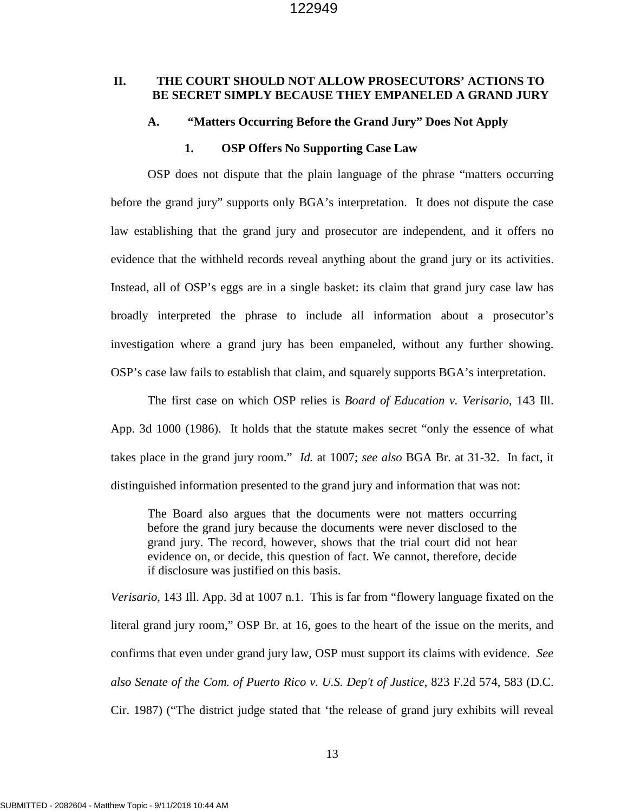### **II. THE COURT SHOULD NOT ALLOW PROSECUTORS' ACTIONS TO BE SECRET SIMPLY BECAUSE THEY EMPANELED A GRAND JURY**

#### **A. "Matters Occurring Before the Grand Jury" Does Not Apply**

#### **1. OSP Offers No Supporting Case Law**

OSP does not dispute that the plain language of the phrase "matters occurring before the grand jury" supports only BGA's interpretation. It does not dispute the case law establishing that the grand jury and prosecutor are independent, and it offers no evidence that the withheld records reveal anything about the grand jury or its activities. Instead, all of OSP's eggs are in a single basket: its claim that grand jury case law has broadly interpreted the phrase to include all information about a prosecutor's investigation where a grand jury has been empaneled, without any further showing. OSP's case law fails to establish that claim, and squarely supports BGA's interpretation.

The first case on which OSP relies is *Board of Education v. Verisario*, 143 Ill. App. 3d 1000 (1986). It holds that the statute makes secret "only the essence of what takes place in the grand jury room." *Id.* at 1007; *see also* BGA Br. at 31-32. In fact, it distinguished information presented to the grand jury and information that was not:

The Board also argues that the documents were not matters occurring before the grand jury because the documents were never disclosed to the grand jury. The record, however, shows that the trial court did not hear evidence on, or decide, this question of fact. We cannot, therefore, decide if disclosure was justified on this basis.

*Verisario*, 143 Ill. App. 3d at 1007 n.1. This is far from "flowery language fixated on the literal grand jury room," OSP Br. at 16, goes to the heart of the issue on the merits, and confirms that even under grand jury law, OSP must support its claims with evidence. *See also Senate of the Com. of Puerto Rico v. U.S. Dep't of Justice*, 823 F.2d 574, 583 (D.C. Cir. 1987) ("The district judge stated that 'the release of grand jury exhibits will reveal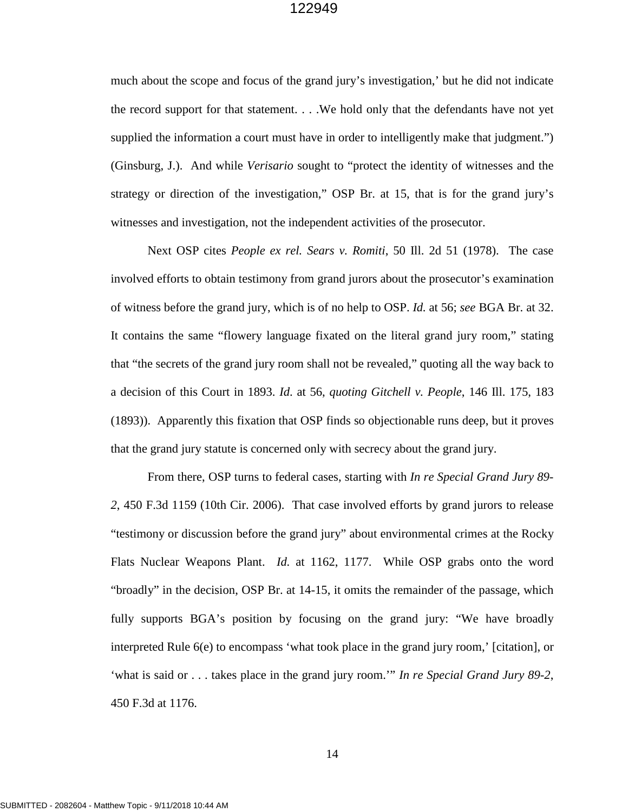much about the scope and focus of the grand jury's investigation,' but he did not indicate the record support for that statement. . . .We hold only that the defendants have not yet supplied the information a court must have in order to intelligently make that judgment.") (Ginsburg, J.). And while *Verisario* sought to "protect the identity of witnesses and the strategy or direction of the investigation," OSP Br. at 15, that is for the grand jury's witnesses and investigation, not the independent activities of the prosecutor.

Next OSP cites *People ex rel. Sears v. Romiti*, 50 Ill. 2d 51 (1978). The case involved efforts to obtain testimony from grand jurors about the prosecutor's examination of witness before the grand jury, which is of no help to OSP. *Id.* at 56; *see* BGA Br. at 32. It contains the same "flowery language fixated on the literal grand jury room," stating that "the secrets of the grand jury room shall not be revealed," quoting all the way back to a decision of this Court in 1893. *Id*. at 56, *quoting Gitchell v. People*, 146 Ill. 175, 183 (1893)). Apparently this fixation that OSP finds so objectionable runs deep, but it proves that the grand jury statute is concerned only with secrecy about the grand jury.

From there, OSP turns to federal cases, starting with *In re Special Grand Jury 89- 2*, 450 F.3d 1159 (10th Cir. 2006). That case involved efforts by grand jurors to release "testimony or discussion before the grand jury" about environmental crimes at the Rocky Flats Nuclear Weapons Plant. *Id.* at 1162, 1177. While OSP grabs onto the word "broadly" in the decision, OSP Br. at 14-15, it omits the remainder of the passage, which fully supports BGA's position by focusing on the grand jury: "We have broadly interpreted Rule 6(e) to encompass 'what took place in the grand jury room,' [citation], or 'what is said or . . . takes place in the grand jury room.'" *In re Special Grand Jury 89-2*, 450 F.3d at 1176.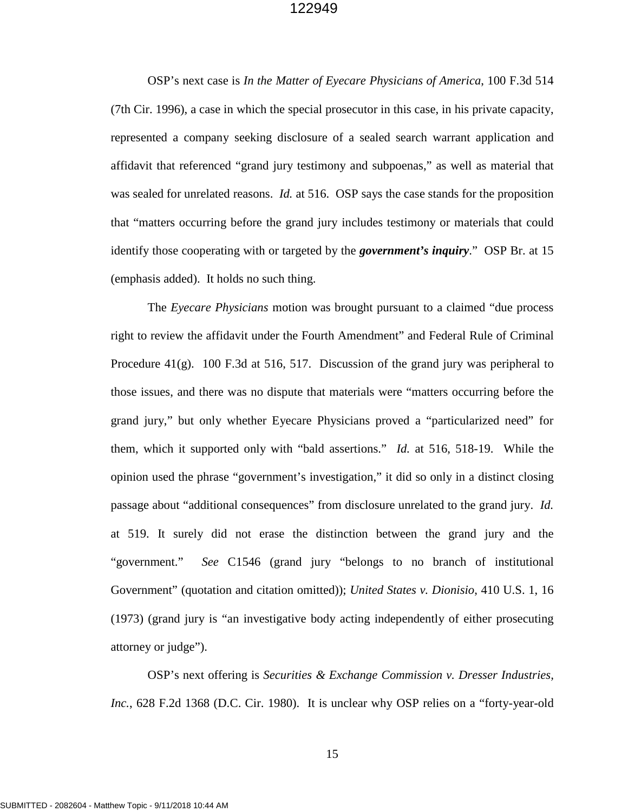OSP's next case is *In the Matter of Eyecare Physicians of America*, 100 F.3d 514 (7th Cir. 1996), a case in which the special prosecutor in this case, in his private capacity, represented a company seeking disclosure of a sealed search warrant application and affidavit that referenced "grand jury testimony and subpoenas," as well as material that was sealed for unrelated reasons. *Id.* at 516. OSP says the case stands for the proposition that "matters occurring before the grand jury includes testimony or materials that could identify those cooperating with or targeted by the *government's inquiry*." OSP Br. at 15 (emphasis added). It holds no such thing.

The *Eyecare Physicians* motion was brought pursuant to a claimed "due process right to review the affidavit under the Fourth Amendment" and Federal Rule of Criminal Procedure  $41(g)$ . 100 F.3d at 516, 517. Discussion of the grand jury was peripheral to those issues, and there was no dispute that materials were "matters occurring before the grand jury," but only whether Eyecare Physicians proved a "particularized need" for them, which it supported only with "bald assertions." *Id.* at 516, 518-19. While the opinion used the phrase "government's investigation," it did so only in a distinct closing passage about "additional consequences" from disclosure unrelated to the grand jury. *Id.*  at 519. It surely did not erase the distinction between the grand jury and the "government." *See* C1546 (grand jury "belongs to no branch of institutional Government" (quotation and citation omitted)); *United States v. Dionisio*, 410 U.S. 1, 16 (1973) (grand jury is "an investigative body acting independently of either prosecuting attorney or judge").

OSP's next offering is *Securities & Exchange Commission v. Dresser Industries, Inc.*, 628 F.2d 1368 (D.C. Cir. 1980). It is unclear why OSP relies on a "forty-year-old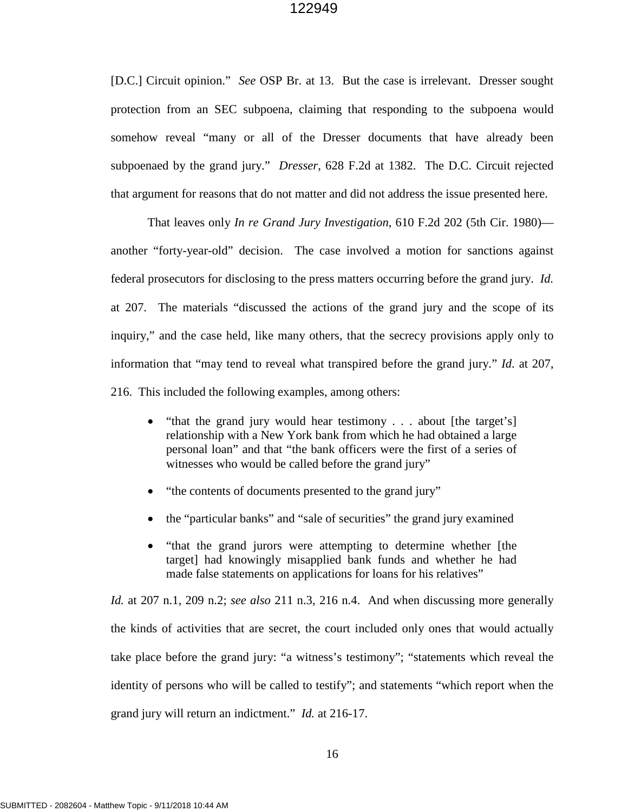[D.C.] Circuit opinion." *See* OSP Br. at 13. But the case is irrelevant. Dresser sought protection from an SEC subpoena, claiming that responding to the subpoena would somehow reveal "many or all of the Dresser documents that have already been subpoenaed by the grand jury." *Dresser*, 628 F.2d at 1382. The D.C. Circuit rejected that argument for reasons that do not matter and did not address the issue presented here.

That leaves only *In re Grand Jury Investigation*, 610 F.2d 202 (5th Cir. 1980) another "forty-year-old" decision. The case involved a motion for sanctions against federal prosecutors for disclosing to the press matters occurring before the grand jury. *Id.*  at 207. The materials "discussed the actions of the grand jury and the scope of its inquiry," and the case held, like many others, that the secrecy provisions apply only to information that "may tend to reveal what transpired before the grand jury." *Id*. at 207, 216. This included the following examples, among others:

- "that the grand jury would hear testimony . . . about [the target's] relationship with a New York bank from which he had obtained a large personal loan" and that "the bank officers were the first of a series of witnesses who would be called before the grand jury"
- "the contents of documents presented to the grand jury"
- the "particular banks" and "sale of securities" the grand jury examined
- "that the grand jurors were attempting to determine whether [the target] had knowingly misapplied bank funds and whether he had made false statements on applications for loans for his relatives"

*Id.* at 207 n.1, 209 n.2; *see also* 211 n.3, 216 n.4. And when discussing more generally the kinds of activities that are secret, the court included only ones that would actually take place before the grand jury: "a witness's testimony"; "statements which reveal the identity of persons who will be called to testify"; and statements "which report when the grand jury will return an indictment." *Id.* at 216-17.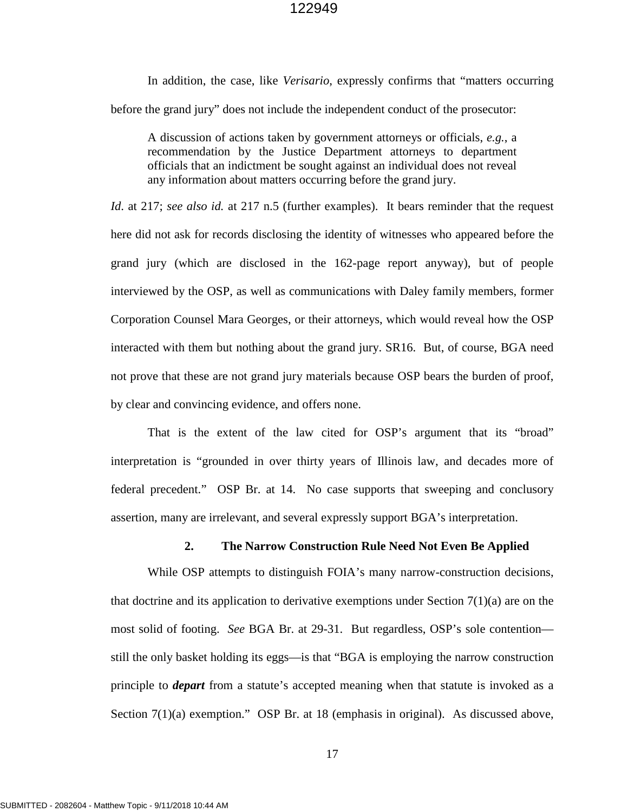In addition, the case, like *Verisario*, expressly confirms that "matters occurring before the grand jury" does not include the independent conduct of the prosecutor:

A discussion of actions taken by government attorneys or officials, *e.g.*, a recommendation by the Justice Department attorneys to department officials that an indictment be sought against an individual does not reveal any information about matters occurring before the grand jury.

*Id.* at 217; *see also id.* at 217 n.5 (further examples). It bears reminder that the request here did not ask for records disclosing the identity of witnesses who appeared before the grand jury (which are disclosed in the 162-page report anyway), but of people interviewed by the OSP, as well as communications with Daley family members, former Corporation Counsel Mara Georges, or their attorneys, which would reveal how the OSP interacted with them but nothing about the grand jury. SR16. But, of course, BGA need not prove that these are not grand jury materials because OSP bears the burden of proof, by clear and convincing evidence, and offers none.

That is the extent of the law cited for OSP's argument that its "broad" interpretation is "grounded in over thirty years of Illinois law, and decades more of federal precedent." OSP Br. at 14. No case supports that sweeping and conclusory assertion, many are irrelevant, and several expressly support BGA's interpretation.

#### **2. The Narrow Construction Rule Need Not Even Be Applied**

While OSP attempts to distinguish FOIA's many narrow-construction decisions, that doctrine and its application to derivative exemptions under Section  $7(1)(a)$  are on the most solid of footing. *See* BGA Br. at 29-31. But regardless, OSP's sole contention still the only basket holding its eggs—is that "BGA is employing the narrow construction principle to *depart* from a statute's accepted meaning when that statute is invoked as a Section 7(1)(a) exemption." OSP Br. at 18 (emphasis in original). As discussed above,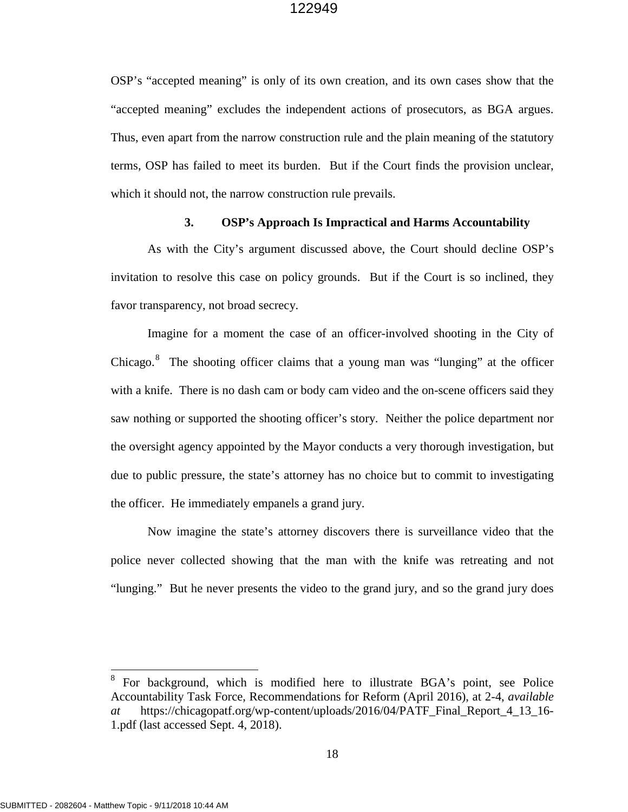OSP's "accepted meaning" is only of its own creation, and its own cases show that the "accepted meaning" excludes the independent actions of prosecutors, as BGA argues. Thus, even apart from the narrow construction rule and the plain meaning of the statutory terms, OSP has failed to meet its burden. But if the Court finds the provision unclear, which it should not, the narrow construction rule prevails.

#### **3. OSP's Approach Is Impractical and Harms Accountability**

As with the City's argument discussed above, the Court should decline OSP's invitation to resolve this case on policy grounds. But if the Court is so inclined, they favor transparency, not broad secrecy.

Imagine for a moment the case of an officer-involved shooting in the City of Chicago. $8$  The shooting officer claims that a young man was "lunging" at the officer with a knife. There is no dash cam or body cam video and the on-scene officers said they saw nothing or supported the shooting officer's story. Neither the police department nor the oversight agency appointed by the Mayor conducts a very thorough investigation, but due to public pressure, the state's attorney has no choice but to commit to investigating the officer. He immediately empanels a grand jury.

Now imagine the state's attorney discovers there is surveillance video that the police never collected showing that the man with the knife was retreating and not "lunging." But he never presents the video to the grand jury, and so the grand jury does

<span id="page-21-0"></span><sup>8</sup> For background, which is modified here to illustrate BGA's point, see Police Accountability Task Force, Recommendations for Reform (April 2016), at 2-4, *available at* https://chicagopatf.org/wp-content/uploads/2016/04/PATF\_Final\_Report\_4\_13\_16- 1.pdf (last accessed Sept. 4, 2018).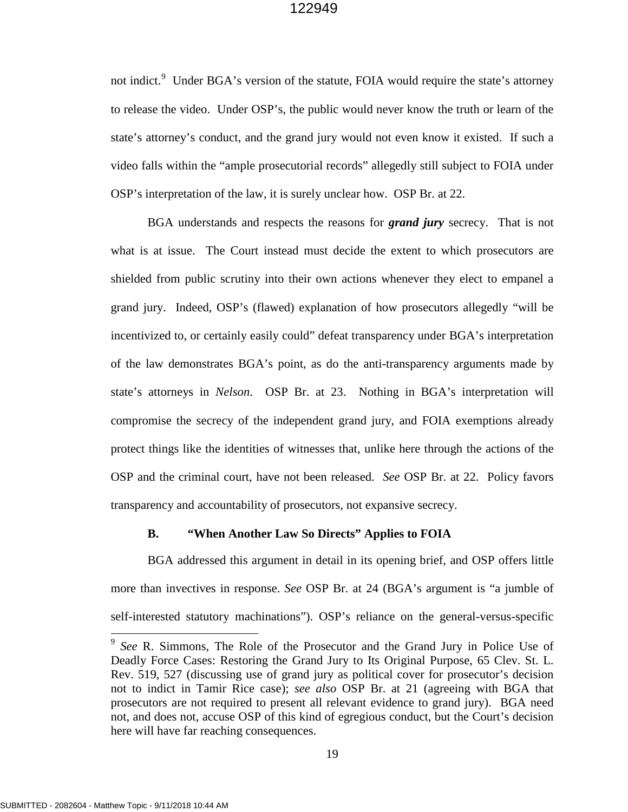not indict.<sup>[9](#page-22-0)</sup> Under BGA's version of the statute, FOIA would require the state's attorney to release the video. Under OSP's, the public would never know the truth or learn of the state's attorney's conduct, and the grand jury would not even know it existed. If such a video falls within the "ample prosecutorial records" allegedly still subject to FOIA under OSP's interpretation of the law, it is surely unclear how. OSP Br. at 22.

BGA understands and respects the reasons for *grand jury* secrecy. That is not what is at issue. The Court instead must decide the extent to which prosecutors are shielded from public scrutiny into their own actions whenever they elect to empanel a grand jury. Indeed, OSP's (flawed) explanation of how prosecutors allegedly "will be incentivized to, or certainly easily could" defeat transparency under BGA's interpretation of the law demonstrates BGA's point, as do the anti-transparency arguments made by state's attorneys in *Nelson*. OSP Br. at 23. Nothing in BGA's interpretation will compromise the secrecy of the independent grand jury, and FOIA exemptions already protect things like the identities of witnesses that, unlike here through the actions of the OSP and the criminal court, have not been released. *See* OSP Br. at 22. Policy favors transparency and accountability of prosecutors, not expansive secrecy.

#### **B. "When Another Law So Directs" Applies to FOIA**

BGA addressed this argument in detail in its opening brief, and OSP offers little more than invectives in response. *See* OSP Br. at 24 (BGA's argument is "a jumble of self-interested statutory machinations"). OSP's reliance on the general-versus-specific

l

<span id="page-22-0"></span><sup>9</sup> *See* R. Simmons, The Role of the Prosecutor and the Grand Jury in Police Use of Deadly Force Cases: Restoring the Grand Jury to Its Original Purpose, 65 Clev. St. L. Rev. 519, 527 (discussing use of grand jury as political cover for prosecutor's decision not to indict in Tamir Rice case); *see also* OSP Br. at 21 (agreeing with BGA that prosecutors are not required to present all relevant evidence to grand jury). BGA need not, and does not, accuse OSP of this kind of egregious conduct, but the Court's decision here will have far reaching consequences.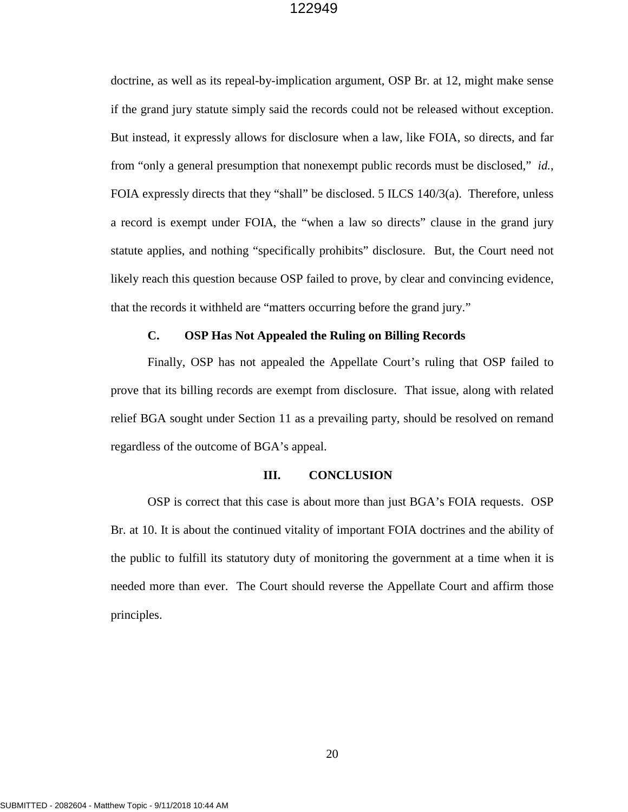doctrine, as well as its repeal-by-implication argument, OSP Br. at 12, might make sense if the grand jury statute simply said the records could not be released without exception. But instead, it expressly allows for disclosure when a law, like FOIA, so directs, and far from "only a general presumption that nonexempt public records must be disclosed," *id.*, FOIA expressly directs that they "shall" be disclosed. 5 ILCS 140/3(a). Therefore, unless a record is exempt under FOIA, the "when a law so directs" clause in the grand jury statute applies, and nothing "specifically prohibits" disclosure. But, the Court need not likely reach this question because OSP failed to prove, by clear and convincing evidence, that the records it withheld are "matters occurring before the grand jury."

## **C. OSP Has Not Appealed the Ruling on Billing Records**

Finally, OSP has not appealed the Appellate Court's ruling that OSP failed to prove that its billing records are exempt from disclosure. That issue, along with related relief BGA sought under Section 11 as a prevailing party, should be resolved on remand regardless of the outcome of BGA's appeal.

#### **III. CONCLUSION**

OSP is correct that this case is about more than just BGA's FOIA requests. OSP Br. at 10. It is about the continued vitality of important FOIA doctrines and the ability of the public to fulfill its statutory duty of monitoring the government at a time when it is needed more than ever. The Court should reverse the Appellate Court and affirm those principles.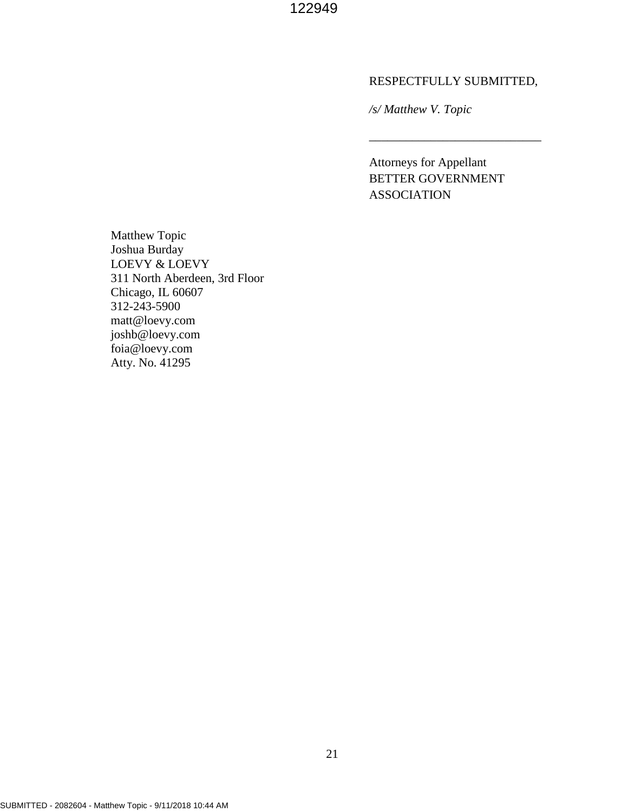#### RESPECTFULLY SUBMITTED,

\_\_\_\_\_\_\_\_\_\_\_\_\_\_\_\_\_\_\_\_\_\_\_\_\_\_\_\_

*/s/ Matthew V. Topic* 

Attorneys for Appellant BETTER GOVERNMENT ASSOCIATION

Matthew Topic Joshua Burday LOEVY & LOEVY 311 North Aberdeen, 3rd Floor Chicago, IL 60607 312-243-5900 matt@loevy.com joshb@loevy.com foia@loevy.com Atty. No. 41295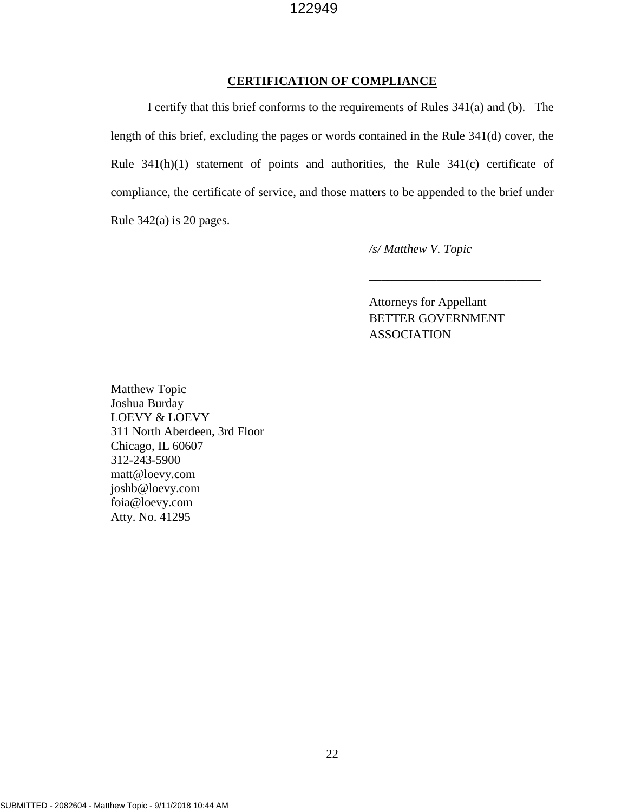#### **CERTIFICATION OF COMPLIANCE**

I certify that this brief conforms to the requirements of Rules 341(a) and (b). The length of this brief, excluding the pages or words contained in the Rule 341(d) cover, the Rule 341(h)(1) statement of points and authorities, the Rule 341(c) certificate of compliance, the certificate of service, and those matters to be appended to the brief under Rule 342(a) is 20 pages.

*/s/ Matthew V. Topic* 

Attorneys for Appellant BETTER GOVERNMENT ASSOCIATION

\_\_\_\_\_\_\_\_\_\_\_\_\_\_\_\_\_\_\_\_\_\_\_\_\_\_\_\_

Matthew Topic Joshua Burday LOEVY & LOEVY 311 North Aberdeen, 3rd Floor Chicago, IL 60607 312-243-5900 matt@loevy.com joshb@loevy.com foia@loevy.com Atty. No. 41295